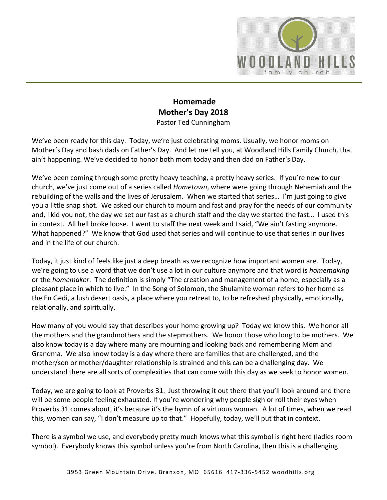

## **Homemade Mother's Day 2018** Pastor Ted Cunningham

We've been ready for this day. Today, we're just celebrating moms. Usually, we honor moms on Mother's Day and bash dads on Father's Day. And let me tell you, at Woodland Hills Family Church, that ain't happening. We've decided to honor both mom today and then dad on Father's Day.

We've been coming through some pretty heavy teaching, a pretty heavy series. If you're new to our church, we've just come out of a series called *Hometown*, where were going through Nehemiah and the rebuilding of the walls and the lives of Jerusalem. When we started that series… I'm just going to give you a little snap shot. We asked our church to mourn and fast and pray for the needs of our community and, I kid you not, the day we set our fast as a church staff and the day we started the fast… I used this in context. All hell broke loose. I went to staff the next week and I said, "We ain't fasting anymore. What happened?" We know that God used that series and will continue to use that series in our lives and in the life of our church.

Today, it just kind of feels like just a deep breath as we recognize how important women are. Today, we're going to use a word that we don't use a lot in our culture anymore and that word is *homemaking* or the *homemaker*. The definition is simply "The creation and management of a home, especially as a pleasant place in which to live." In the Song of Solomon, the Shulamite woman refers to her home as the En Gedi, a lush desert oasis, a place where you retreat to, to be refreshed physically, emotionally, relationally, and spiritually.

How many of you would say that describes your home growing up? Today we know this. We honor all the mothers and the grandmothers and the stepmothers. We honor those who long to be mothers. We also know today is a day where many are mourning and looking back and remembering Mom and Grandma. We also know today is a day where there are families that are challenged, and the mother/son or mother/daughter relationship is strained and this can be a challenging day. We understand there are all sorts of complexities that can come with this day as we seek to honor women.

Today, we are going to look at Proverbs 31. Just throwing it out there that you'll look around and there will be some people feeling exhausted. If you're wondering why people sigh or roll their eyes when Proverbs 31 comes about, it's because it's the hymn of a virtuous woman. A lot of times, when we read this, women can say, "I don't measure up to that." Hopefully, today, we'll put that in context.

There is a symbol we use, and everybody pretty much knows what this symbol is right here (ladies room symbol). Everybody knows this symbol unless you're from North Carolina, then this is a challenging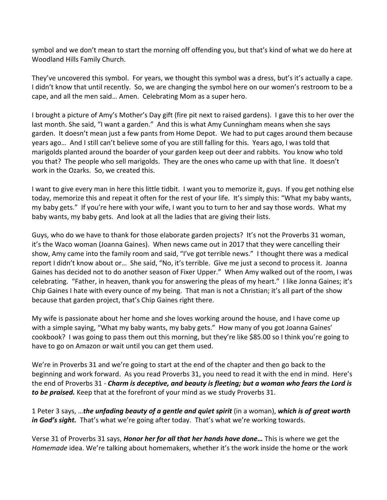symbol and we don't mean to start the morning off offending you, but that's kind of what we do here at Woodland Hills Family Church.

They've uncovered this symbol. For years, we thought this symbol was a dress, but's it's actually a cape. I didn't know that until recently. So, we are changing the symbol here on our women's restroom to be a cape, and all the men said… Amen. Celebrating Mom as a super hero.

I brought a picture of Amy's Mother's Day gift (fire pit next to raised gardens). I gave this to her over the last month. She said, "I want a garden." And this is what Amy Cunningham means when she says garden. It doesn't mean just a few pants from Home Depot. We had to put cages around them because years ago… And I still can't believe some of you are still falling for this. Years ago, I was told that marigolds planted around the boarder of your garden keep out deer and rabbits. You know who told you that? The people who sell marigolds. They are the ones who came up with that line. It doesn't work in the Ozarks. So, we created this.

I want to give every man in here this little tidbit. I want you to memorize it, guys. If you get nothing else today, memorize this and repeat it often for the rest of your life. It's simply this: "What my baby wants, my baby gets." If you're here with your wife, I want you to turn to her and say those words. What my baby wants, my baby gets. And look at all the ladies that are giving their lists.

Guys, who do we have to thank for those elaborate garden projects? It's not the Proverbs 31 woman, it's the Waco woman (Joanna Gaines). When news came out in 2017 that they were cancelling their show, Amy came into the family room and said, "I've got terrible news." I thought there was a medical report I didn't know about or… She said, "No, it's terrible. Give me just a second to process it. Joanna Gaines has decided not to do another season of Fixer Upper." When Amy walked out of the room, I was celebrating. "Father, in heaven, thank you for answering the pleas of my heart." I like Jonna Gaines; it's Chip Gaines I hate with every ounce of my being. That man is not a Christian; it's all part of the show because that garden project, that's Chip Gaines right there.

My wife is passionate about her home and she loves working around the house, and I have come up with a simple saying, "What my baby wants, my baby gets." How many of you got Joanna Gaines' cookbook? I was going to pass them out this morning, but they're like \$85.00 so I think you're going to have to go on Amazon or wait until you can get them used.

We're in Proverbs 31 and we're going to start at the end of the chapter and then go back to the beginning and work forward. As you read Proverbs 31, you need to read it with the end in mind. Here's the end of Proverbs 31 - *Charm is deceptive, and beauty is fleeting; but a woman who fears the Lord is to be praised.* Keep that at the forefront of your mind as we study Proverbs 31.

1 Peter 3 says, …*the unfading beauty of a gentle and quiet spirit* (in a woman), *which is of great worth*  in God's sight. That's what we're going after today. That's what we're working towards.

Verse 31 of Proverbs 31 says, *Honor her for all that her hands have done…* This is where we get the *Homemade* idea. We're talking about homemakers, whether it's the work inside the home or the work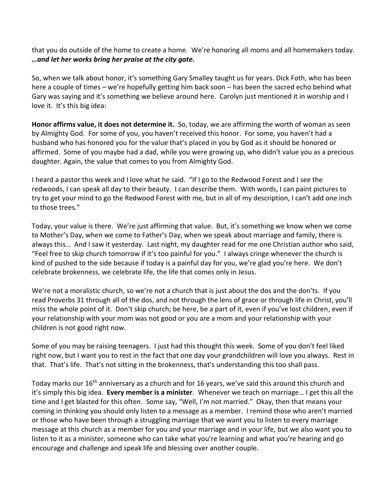that you do outside of the home to create a home. We're honoring all moms and all homemakers today. *…and let her works bring her praise at the city gate.*

So, when we talk about honor, it's something Gary Smalley taught us for years. Dick Foth, who has been here a couple of times – we're hopefully getting him back soon – has been the sacred echo behind what Gary was saying and it's something we believe around here. Carolyn just mentioned it in worship and I love it. It's this big idea:

**Honor affirms value, it does not determine it.** So, today, we are affirming the worth of woman as seen by Almighty God. For some of you, you haven't received this honor. For some, you haven't had a husband who has honored you for the value that's placed in you by God as it should be honored or affirmed. Some of you maybe had a dad, while you were growing up, who didn't value you as a precious daughter. Again, the value that comes to you from Almighty God.

I heard a pastor this week and I love what he said. "If I go to the Redwood Forest and I see the redwoods, I can speak all day to their beauty. I can describe them. With words, I can paint pictures to try to get your mind to go the Redwood Forest with me, but in all of my description, I can't add one inch to those trees."

Today, your value is there. We're just affirming that value. But, it's something we know when we come to Mother's Day, when we come to Father's Day, when we speak about marriage and family, there is always this… And I saw it yesterday. Last night, my daughter read for me one Christian author who said, "Feel free to skip church tomorrow if it's too painful for you." I always cringe whenever the church is kind of pushed to the side because if today is a painful day for you, we're glad you're here. We don't celebrate brokenness, we celebrate life, the life that comes only in Jesus.

We're not a moralistic church, so we're not a church that is just about the dos and the don'ts. If you read Proverbs 31 through all of the dos, and not through the lens of grace or through life in Christ, you'll miss the whole point of it. Don't skip church; be here, be a part of it, even if you've lost children, even if your relationship with your mom was not good or you are a mom and your relationship with your children is not good right now.

Some of you may be raising teenagers. I just had this thought this week. Some of you don't feel liked right now, but I want you to rest in the fact that one day your grandchildren will love you always. Rest in that. That's life. That's not sitting in the brokenness, that's understanding this too shall pass.

Today marks our 16<sup>th</sup> anniversary as a church and for 16 years, we've said this around this church and it's simply this big idea. **Every member is a minister**. Whenever we teach on marriage… I get this all the time and I get blasted for this often. Some say, "Well, I'm not married." Okay, then that means your coming in thinking you should only listen to a message as a member. I remind those who aren't married or those who have been through a struggling marriage that we want you to listen to every marriage message at this church as a member for you and your marriage and in your life, but we also want you to listen to it as a minister, someone who can take what you're learning and what you're hearing and go encourage and challenge and speak life and blessing over another couple.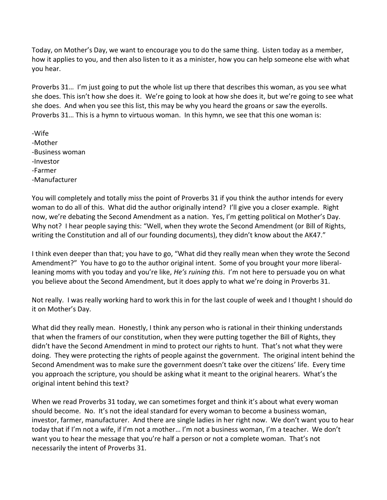Today, on Mother's Day, we want to encourage you to do the same thing. Listen today as a member, how it applies to you, and then also listen to it as a minister, how you can help someone else with what you hear.

Proverbs 31… I'm just going to put the whole list up there that describes this woman, as you see what she does. This isn't how she does it. We're going to look at how she does it, but we're going to see what she does. And when you see this list, this may be why you heard the groans or saw the eyerolls. Proverbs 31… This is a hymn to virtuous woman. In this hymn, we see that this one woman is:

-Wife -Mother -Business woman -Investor -Farmer -Manufacturer

You will completely and totally miss the point of Proverbs 31 if you think the author intends for every woman to do all of this. What did the author originally intend? I'll give you a closer example. Right now, we're debating the Second Amendment as a nation. Yes, I'm getting political on Mother's Day. Why not? I hear people saying this: "Well, when they wrote the Second Amendment (or Bill of Rights, writing the Constitution and all of our founding documents), they didn't know about the AK47."

I think even deeper than that; you have to go, "What did they really mean when they wrote the Second Amendment?" You have to go to the author original intent. Some of you brought your more liberalleaning moms with you today and you're like, *He's ruining this*. I'm not here to persuade you on what you believe about the Second Amendment, but it does apply to what we're doing in Proverbs 31.

Not really. I was really working hard to work this in for the last couple of week and I thought I should do it on Mother's Day.

What did they really mean. Honestly, I think any person who is rational in their thinking understands that when the framers of our constitution, when they were putting together the Bill of Rights, they didn't have the Second Amendment in mind to protect our rights to hunt. That's not what they were doing. They were protecting the rights of people against the government. The original intent behind the Second Amendment was to make sure the government doesn't take over the citizens' life. Every time you approach the scripture, you should be asking what it meant to the original hearers. What's the original intent behind this text?

When we read Proverbs 31 today, we can sometimes forget and think it's about what every woman should become. No. It's not the ideal standard for every woman to become a business woman, investor, farmer, manufacturer. And there are single ladies in her right now. We don't want you to hear today that if I'm not a wife, if I'm not a mother… I'm not a business woman, I'm a teacher. We don't want you to hear the message that you're half a person or not a complete woman. That's not necessarily the intent of Proverbs 31.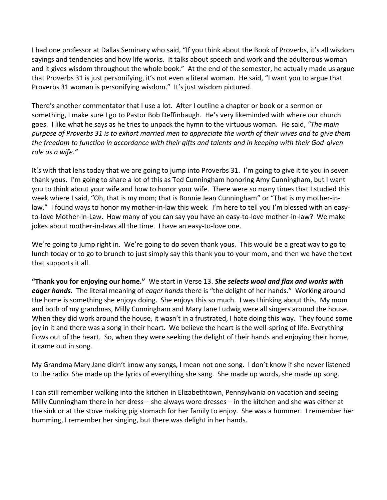I had one professor at Dallas Seminary who said, "If you think about the Book of Proverbs, it's all wisdom sayings and tendencies and how life works. It talks about speech and work and the adulterous woman and it gives wisdom throughout the whole book." At the end of the semester, he actually made us argue that Proverbs 31 is just personifying, it's not even a literal woman. He said, "I want you to argue that Proverbs 31 woman is personifying wisdom." It's just wisdom pictured.

There's another commentator that I use a lot. After I outline a chapter or book or a sermon or something, I make sure I go to Pastor Bob Deffinbaugh. He's very likeminded with where our church goes. I like what he says as he tries to unpack the hymn to the virtuous woman. He said, *"The main purpose of Proverbs 31 is to exhort married men to appreciate the worth of their wives and to give them the freedom to function in accordance with their gifts and talents and in keeping with their God-given role as a wife."*

It's with that lens today that we are going to jump into Proverbs 31. I'm going to give it to you in seven thank yous. I'm going to share a lot of this as Ted Cunningham honoring Amy Cunningham, but I want you to think about your wife and how to honor your wife. There were so many times that I studied this week where I said, "Oh, that is my mom; that is Bonnie Jean Cunningham" or "That is my mother-inlaw." I found ways to honor my mother-in-law this week. I'm here to tell you I'm blessed with an easyto-love Mother-in-Law. How many of you can say you have an easy-to-love mother-in-law? We make jokes about mother-in-laws all the time. I have an easy-to-love one.

We're going to jump right in. We're going to do seven thank yous. This would be a great way to go to lunch today or to go to brunch to just simply say this thank you to your mom, and then we have the text that supports it all.

**"Thank you for enjoying our home."** We start in Verse 13. *She selects wool and flax and works with eager hands.* The literal meaning of *eager hands* there is "the delight of her hands." Working around the home is something she enjoys doing. She enjoys this so much. I was thinking about this. My mom and both of my grandmas, Milly Cunningham and Mary Jane Ludwig were all singers around the house. When they did work around the house, it wasn't in a frustrated, I hate doing this way. They found some joy in it and there was a song in their heart. We believe the heart is the well-spring of life. Everything flows out of the heart. So, when they were seeking the delight of their hands and enjoying their home, it came out in song.

My Grandma Mary Jane didn't know any songs, I mean not one song. I don't know if she never listened to the radio. She made up the lyrics of everything she sang. She made up words, she made up song.

I can still remember walking into the kitchen in Elizabethtown, Pennsylvania on vacation and seeing Milly Cunningham there in her dress – she always wore dresses – in the kitchen and she was either at the sink or at the stove making pig stomach for her family to enjoy. She was a hummer. I remember her humming, I remember her singing, but there was delight in her hands.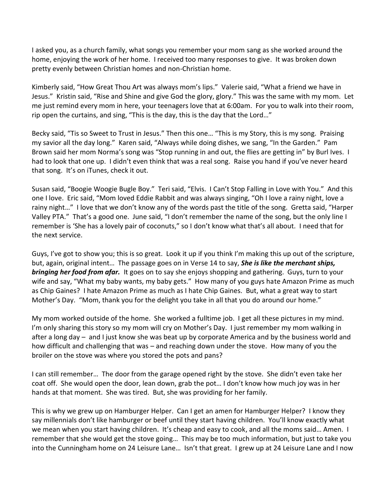I asked you, as a church family, what songs you remember your mom sang as she worked around the home, enjoying the work of her home. I received too many responses to give. It was broken down pretty evenly between Christian homes and non-Christian home.

Kimberly said, "How Great Thou Art was always mom's lips." Valerie said, "What a friend we have in Jesus." Kristin said, "Rise and Shine and give God the glory, glory." This was the same with my mom. Let me just remind every mom in here, your teenagers love that at 6:00am. For you to walk into their room, rip open the curtains, and sing, "This is the day, this is the day that the Lord…"

Becky said, "Tis so Sweet to Trust in Jesus." Then this one… "This is my Story, this is my song. Praising my savior all the day long." Karen said, "Always while doing dishes, we sang, "In the Garden." Pam Brown said her mom Norma's song was "Stop running in and out, the flies are getting in" by Burl Ives. I had to look that one up. I didn't even think that was a real song. Raise you hand if you've never heard that song. It's on iTunes, check it out.

Susan said, "Boogie Woogie Bugle Boy." Teri said, "Elvis. I Can't Stop Falling in Love with You." And this one I love. Eric said, "Mom loved Eddie Rabbit and was always singing, "Oh I love a rainy night, love a rainy night…" I love that we don't know any of the words past the title of the song. Gretta said, "Harper Valley PTA." That's a good one. June said, "I don't remember the name of the song, but the only line I remember is 'She has a lovely pair of coconuts," so I don't know what that's all about. I need that for the next service.

Guys, I've got to show you; this is so great. Look it up if you think I'm making this up out of the scripture, but, again, original intent… The passage goes on in Verse 14 to say, *She is like the merchant ships, bringing her food from afar.* It goes on to say she enjoys shopping and gathering. Guys, turn to your wife and say, "What my baby wants, my baby gets." How many of you guys hate Amazon Prime as much as Chip Gaines? I hate Amazon Prime as much as I hate Chip Gaines. But, what a great way to start Mother's Day. "Mom, thank you for the delight you take in all that you do around our home."

My mom worked outside of the home. She worked a fulltime job. I get all these pictures in my mind. I'm only sharing this story so my mom will cry on Mother's Day. I just remember my mom walking in after a long day – and I just know she was beat up by corporate America and by the business world and how difficult and challenging that was – and reaching down under the stove. How many of you the broiler on the stove was where you stored the pots and pans?

I can still remember… The door from the garage opened right by the stove. She didn't even take her coat off. She would open the door, lean down, grab the pot… I don't know how much joy was in her hands at that moment. She was tired. But, she was providing for her family.

This is why we grew up on Hamburger Helper. Can I get an amen for Hamburger Helper? I know they say millennials don't like hamburger or beef until they start having children. You'll know exactly what we mean when you start having children. It's cheap and easy to cook, and all the moms said... Amen. I remember that she would get the stove going… This may be too much information, but just to take you into the Cunningham home on 24 Leisure Lane… Isn't that great. I grew up at 24 Leisure Lane and I now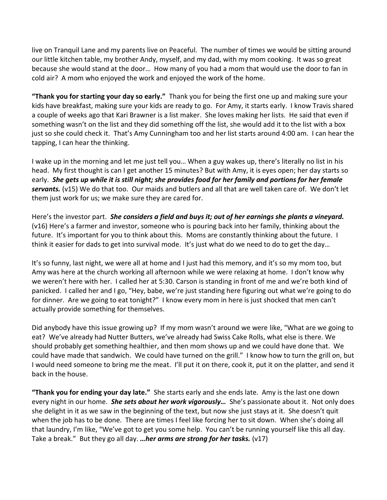live on Tranquil Lane and my parents live on Peaceful. The number of times we would be sitting around our little kitchen table, my brother Andy, myself, and my dad, with my mom cooking. It was so great because she would stand at the door… How many of you had a mom that would use the door to fan in cold air? A mom who enjoyed the work and enjoyed the work of the home.

**"Thank you for starting your day so early."** Thank you for being the first one up and making sure your kids have breakfast, making sure your kids are ready to go. For Amy, it starts early. I know Travis shared a couple of weeks ago that Kari Brawner is a list maker. She loves making her lists. He said that even if something wasn't on the list and they did something off the list, she would add it to the list with a box just so she could check it. That's Amy Cunningham too and her list starts around 4:00 am. I can hear the tapping, I can hear the thinking.

I wake up in the morning and let me just tell you… When a guy wakes up, there's literally no list in his head. My first thought is can I get another 15 minutes? But with Amy, it is eyes open; her day starts so early. *She gets up while it is still night; she provides food for her family and portions for her female servants.* (v15) We do that too. Our maids and butlers and all that are well taken care of. We don't let them just work for us; we make sure they are cared for.

Here's the investor part. *She considers a field and buys it; out of her earnings she plants a vineyard.* (v16) Here's a farmer and investor, someone who is pouring back into her family, thinking about the future. It's important for you to think about this. Moms are constantly thinking about the future. I think it easier for dads to get into survival mode. It's just what do we need to do to get the day…

It's so funny, last night, we were all at home and I just had this memory, and it's so my mom too, but Amy was here at the church working all afternoon while we were relaxing at home. I don't know why we weren't here with her. I called her at 5:30. Carson is standing in front of me and we're both kind of panicked. I called her and I go, "Hey, babe, we're just standing here figuring out what we're going to do for dinner. Are we going to eat tonight?" I know every mom in here is just shocked that men can't actually provide something for themselves.

Did anybody have this issue growing up? If my mom wasn't around we were like, "What are we going to eat? We've already had Nutter Butters, we've already had Swiss Cake Rolls, what else is there. We should probably get something healthier, and then mom shows up and we could have done that. We could have made that sandwich. We could have turned on the grill." I know how to turn the grill on, but I would need someone to bring me the meat. I'll put it on there, cook it, put it on the platter, and send it back in the house.

**"Thank you for ending your day late."** She starts early and she ends late. Amy is the last one down every night in our home. *She sets about her work vigorously…* She's passionate about it. Not only does she delight in it as we saw in the beginning of the text, but now she just stays at it. She doesn't quit when the job has to be done. There are times I feel like forcing her to sit down. When she's doing all that laundry, I'm like, "We've got to get you some help. You can't be running yourself like this all day. Take a break." But they go all day. *…her arms are strong for her tasks.* (v17)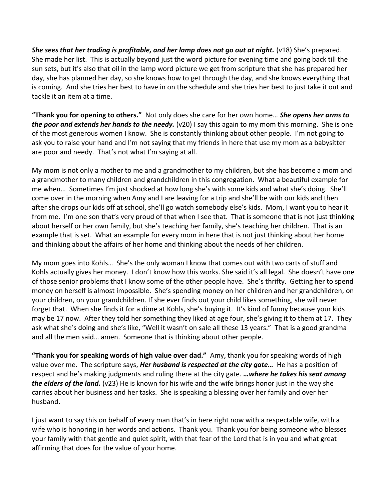**She sees that her trading is profitable, and her lamp does not go out at night.** (v18) She's prepared. She made her list. This is actually beyond just the word picture for evening time and going back till the sun sets, but it's also that oil in the lamp word picture we get from scripture that she has prepared her day, she has planned her day, so she knows how to get through the day, and she knows everything that is coming. And she tries her best to have in on the schedule and she tries her best to just take it out and tackle it an item at a time.

**"Thank you for opening to others."** Not only does she care for her own home… *She opens her arms to the poor and extends her hands to the needy.* (v20) I say this again to my mom this morning. She is one of the most generous women I know. She is constantly thinking about other people. I'm not going to ask you to raise your hand and I'm not saying that my friends in here that use my mom as a babysitter are poor and needy. That's not what I'm saying at all.

My mom is not only a mother to me and a grandmother to my children, but she has become a mom and a grandmother to many children and grandchildren in this congregation. What a beautiful example for me when… Sometimes I'm just shocked at how long she's with some kids and what she's doing. She'll come over in the morning when Amy and I are leaving for a trip and she'll be with our kids and then after she drops our kids off at school, she'll go watch somebody else's kids. Mom, I want you to hear it from me. I'm one son that's very proud of that when I see that. That is someone that is not just thinking about herself or her own family, but she's teaching her family, she's teaching her children. That is an example that is set. What an example for every mom in here that is not just thinking about her home and thinking about the affairs of her home and thinking about the needs of her children.

My mom goes into Kohls… She's the only woman I know that comes out with two carts of stuff and Kohls actually gives her money. I don't know how this works. She said it's all legal. She doesn't have one of those senior problems that I know some of the other people have. She's thrifty. Getting her to spend money on herself is almost impossible. She's spending money on her children and her grandchildren, on your children, on your grandchildren. If she ever finds out your child likes something, she will never forget that. When she finds it for a dime at Kohls, she's buying it. It's kind of funny because your kids may be 17 now. After they told her something they liked at age four, she's giving it to them at 17. They ask what she's doing and she's like, "Well it wasn't on sale all these 13 years." That is a good grandma and all the men said… amen. Someone that is thinking about other people.

**"Thank you for speaking words of high value over dad."** Amy, thank you for speaking words of high value over me. The scripture says, *Her husband is respected at the city gate…* He has a position of respect and he's making judgments and ruling there at the city gate. *…where he takes his seat among the elders of the land.* (v23) He is known for his wife and the wife brings honor just in the way she carries about her business and her tasks. She is speaking a blessing over her family and over her husband.

I just want to say this on behalf of every man that's in here right now with a respectable wife, with a wife who is honoring in her words and actions. Thank you. Thank you for being someone who blesses your family with that gentle and quiet spirit, with that fear of the Lord that is in you and what great affirming that does for the value of your home.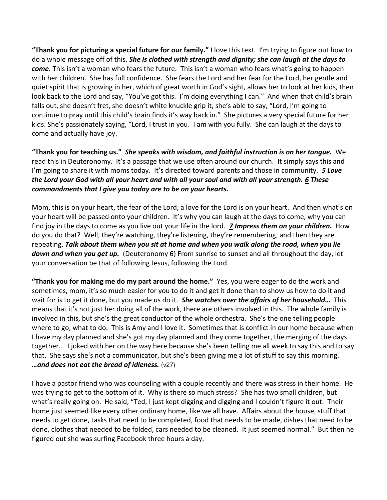**"Thank you for picturing a special future for our family."** I love this text. I'm trying to figure out how to do a whole message off of this. *She is clothed with strength and dignity; she can laugh at the days to come.* This isn't a woman who fears the future. This isn't a woman who fears what's going to happen with her children. She has full confidence. She fears the Lord and her fear for the Lord, her gentle and quiet spirit that is growing in her, which of great worth in God's sight, allows her to look at her kids, then look back to the Lord and say, "You've got this. I'm doing everything I can." And when that child's brain falls out, she doesn't fret, she doesn't white knuckle grip it, she's able to say, "Lord, I'm going to continue to pray until this child's brain finds it's way back in." She pictures a very special future for her kids. She's passionately saying, "Lord, I trust in you. I am with you fully. She can laugh at the days to come and actually have joy.

**"Thank you for teaching us."** *She speaks with wisdom, and faithful instruction is on her tongue.* We read this in Deuteronomy. It's a passage that we use often around our church. It simply says this and I'm going to share it with moms today. It's directed toward parents and those in community. *[5](https://www.studylight.org/desk/?q=de%206:5&t1=en_niv&sr=1) Love the Lord your God with all your heart and with all your soul and with all your strength. [6](https://www.studylight.org/desk/?q=de%206:6&t1=en_niv&sr=1) These commandments that I give you today are to be on your hearts.*

Mom, this is on your heart, the fear of the Lord, a love for the Lord is on your heart. And then what's on your heart will be passed onto your children. It's why you can laugh at the days to come, why you can find joy in the days to come as you live out your life in the lord. *[7](https://www.studylight.org/desk/?q=de%206:7&t1=en_niv&sr=1) Impress them on your children.* How do you do that? Well, they're watching, they're listening, they're remembering, and then they are repeating. *Talk about them when you sit at home and when you walk along the road, when you lie down and when you get up.* (Deuteronomy 6) From sunrise to sunset and all throughout the day, let your conversation be that of following Jesus, following the Lord.

**"Thank you for making me do my part around the home."** Yes, you were eager to do the work and sometimes, mom, it's so much easier for you to do it and get it done than to show us how to do it and wait for is to get it done, but you made us do it. *She watches over the affairs of her household…* This means that it's not just her doing all of the work, there are others involved in this. The whole family is involved in this, but she's the great conductor of the whole orchestra. She's the one telling people where to go, what to do. This is Amy and I love it. Sometimes that is conflict in our home because when I have my day planned and she's got my day planned and they come together, the merging of the days together… I joked with her on the way here because she's been telling me all week to say this and to say that. She says she's not a communicator, but she's been giving me a lot of stuff to say this morning. *…and does not eat the bread of idleness.* (v27)

I have a pastor friend who was counseling with a couple recently and there was stress in their home. He was trying to get to the bottom of it. Why is there so much stress? She has two small children, but what's really going on. He said, "Ted, I just kept digging and digging and I couldn't figure it out. Their home just seemed like every other ordinary home, like we all have. Affairs about the house, stuff that needs to get done, tasks that need to be completed, food that needs to be made, dishes that need to be done, clothes that needed to be folded, cars needed to be cleaned. It just seemed normal." But then he figured out she was surfing Facebook three hours a day.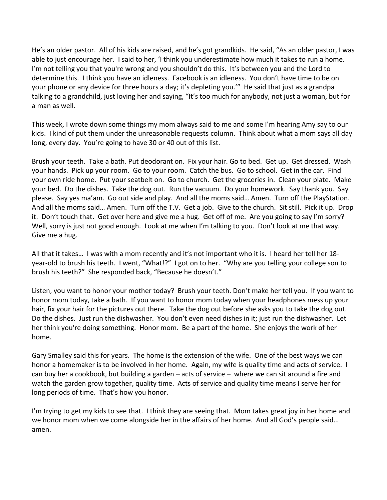He's an older pastor. All of his kids are raised, and he's got grandkids. He said, "As an older pastor, I was able to just encourage her. I said to her, 'I think you underestimate how much it takes to run a home. I'm not telling you that you're wrong and you shouldn't do this. It's between you and the Lord to determine this. I think you have an idleness. Facebook is an idleness. You don't have time to be on your phone or any device for three hours a day; it's depleting you.'" He said that just as a grandpa talking to a grandchild, just loving her and saying, "It's too much for anybody, not just a woman, but for a man as well.

This week, I wrote down some things my mom always said to me and some I'm hearing Amy say to our kids. I kind of put them under the unreasonable requests column. Think about what a mom says all day long, every day. You're going to have 30 or 40 out of this list.

Brush your teeth. Take a bath. Put deodorant on. Fix your hair. Go to bed. Get up. Get dressed. Wash your hands. Pick up your room. Go to your room. Catch the bus. Go to school. Get in the car. Find your own ride home. Put your seatbelt on. Go to church. Get the groceries in. Clean your plate. Make your bed. Do the dishes. Take the dog out. Run the vacuum. Do your homework. Say thank you. Say please. Say yes ma'am. Go out side and play. And all the moms said… Amen. Turn off the PlayStation. And all the moms said… Amen. Turn off the T.V. Get a job. Give to the church. Sit still. Pick it up. Drop it. Don't touch that. Get over here and give me a hug. Get off of me. Are you going to say I'm sorry? Well, sorry is just not good enough. Look at me when I'm talking to you. Don't look at me that way. Give me a hug.

All that it takes… I was with a mom recently and it's not important who it is. I heard her tell her 18 year-old to brush his teeth. I went, "What!?" I got on to her. "Why are you telling your college son to brush his teeth?" She responded back, "Because he doesn't."

Listen, you want to honor your mother today? Brush your teeth. Don't make her tell you. If you want to honor mom today, take a bath. If you want to honor mom today when your headphones mess up your hair, fix your hair for the pictures out there. Take the dog out before she asks you to take the dog out. Do the dishes. Just run the dishwasher. You don't even need dishes in it; just run the dishwasher. Let her think you're doing something. Honor mom. Be a part of the home. She enjoys the work of her home.

Gary Smalley said this for years. The home is the extension of the wife. One of the best ways we can honor a homemaker is to be involved in her home. Again, my wife is quality time and acts of service. I can buy her a cookbook, but building a garden – acts of service – where we can sit around a fire and watch the garden grow together, quality time. Acts of service and quality time means I serve her for long periods of time. That's how you honor.

I'm trying to get my kids to see that. I think they are seeing that. Mom takes great joy in her home and we honor mom when we come alongside her in the affairs of her home. And all God's people said... amen.